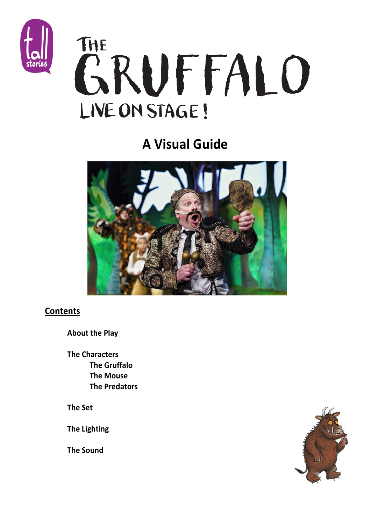

# THE **GRUFFALO** LIVE ON STAGE!

## **A Visual Guide**



### **Contents**

**About the Play**

**The Characters The Gruffalo The Mouse The Predators**

**The Set**

**The Lighting** 

**The Sound** 

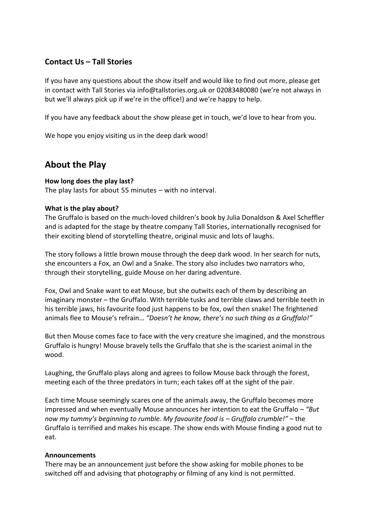### **Contact Us – Tall Stories**

If you have any questions about the show itself and would like to find out more, please get in contact with Tall Stories via [info@tallstories.org.uk](mailto:info@tallstories.org.uk) or 02083480080 (we're not always in but we'll always pick up if we're in the office!) and we're happy to help.

If you have any feedback about the show please get in touch, we'd love to hear from you.

We hope you enjoy visiting us in the deep dark wood!

### **About the Play**

### **How long does the play last?**

The play lasts for about 55 minutes – with no interval.

### **What is the play about?**

The Gruffalo is based on the much-loved children's book by Julia Donaldson & Axel Scheffler and is adapted for the stage by theatre company Tall Stories, internationally recognised for their exciting blend of storytelling theatre, original music and lots of laughs.

The story follows a little brown mouse through the deep dark wood. In her search for nuts, she encounters a Fox, an Owl and a Snake. The story also includes two narrators who, through their storytelling, guide Mouse on her daring adventure.

Fox, Owl and Snake want to eat Mouse, but she outwits each of them by describing an imaginary monster – the Gruffalo. With terrible tusks and terrible claws and terrible teeth in his terrible jaws, his favourite food just happens to be fox, owl then snake! The frightened animals flee to Mouse's refrain… *"Doesn't he know, there's no such thing as a Gruffalo!"*

But then Mouse comes face to face with the very creature she imagined, and the monstrous Gruffalo is hungry! Mouse bravely tells the Gruffalo that she is the scariest animal in the wood.

Laughing, the Gruffalo plays along and agrees to follow Mouse back through the forest, meeting each of the three predators in turn; each takes off at the sight of the pair.

Each time Mouse seemingly scares one of the animals away, the Gruffalo becomes more impressed and when eventually Mouse announces her intention to eat the Gruffalo – *"But now my tummy's beginning to rumble. My favourite food is – Gruffalo crumble!"* – the Gruffalo is terrified and makes his escape. The show ends with Mouse finding a good nut to eat.

### **Announcements**

There may be an announcement just before the show asking for mobile phones to be switched off and advising that photography or filming of any kind is not permitted.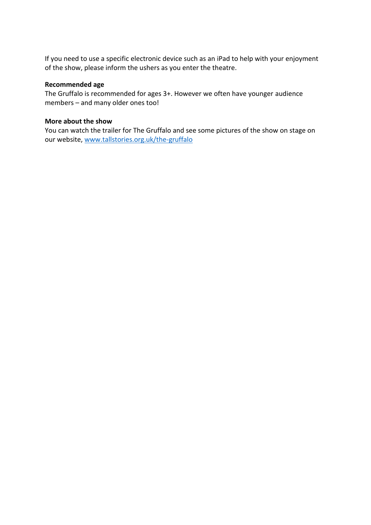If you need to use a specific electronic device such as an iPad to help with your enjoyment of the show, please inform the ushers as you enter the theatre.

### **Recommended age**

The Gruffalo is recommended for ages 3+. However we often have younger audience members – and many older ones too!

### **More about the show**

You can watch the trailer for The Gruffalo and see some pictures of the show on stage on our website, [www.tallstories.org.uk/the-gruffalo](http://www.tallstories.org.uk/the-gruffalo)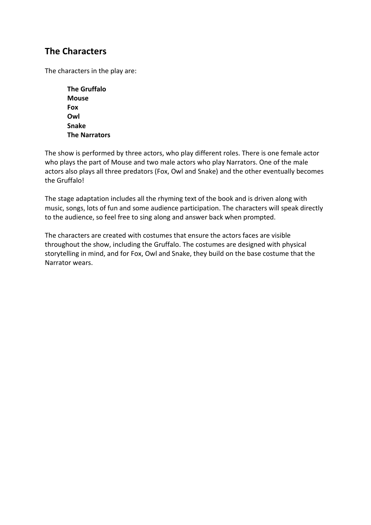### **The Characters**

The characters in the play are:

**The Gruffalo Mouse Fox Owl Snake The Narrators**

The show is performed by three actors, who play different roles. There is one female actor who plays the part of Mouse and two male actors who play Narrators. One of the male actors also plays all three predators (Fox, Owl and Snake) and the other eventually becomes the Gruffalo!

The stage adaptation includes all the rhyming text of the book and is driven along with music, songs, lots of fun and some audience participation. The characters will speak directly to the audience, so feel free to sing along and answer back when prompted.

The characters are created with costumes that ensure the actors faces are visible throughout the show, including the Gruffalo. The costumes are designed with physical storytelling in mind, and for Fox, Owl and Snake, they build on the base costume that the Narrator wears.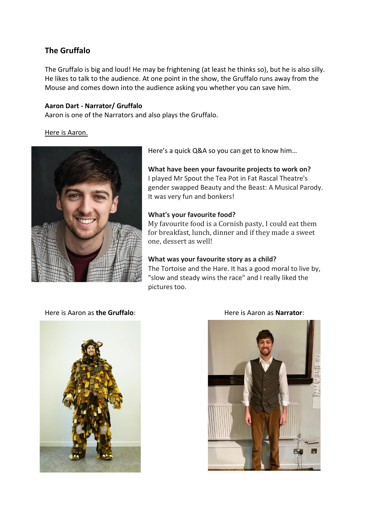### **The Gruffalo**

The Gruffalo is big and loud! He may be frightening (at least he thinks so), but he is also silly. He likes to talk to the audience. At one point in the show, the Gruffalo runs away from the Mouse and comes down into the audience asking you whether you can save him.

### **Aaron Dart - Narrator/ Gruffalo**

Aaron is one of the Narrators and also plays the Gruffalo.

### Here is Aaron.



Here's a quick Q&A so you can get to know him…

**What have been your favourite projects to work on?** I played Mr Spout the Tea Pot in Fat Rascal Theatre's gender swapped Beauty and the Beast: A Musical Parody. It was very fun and bonkers!

### **What's your favourite food?**

My favourite food is a Cornish pasty, I could eat them for breakfast, lunch, dinner and if they made a sweet one, dessert as well!

### **What was your favourite story as a child?**

The Tortoise and the Hare. It has a good moral to live by, "slow and steady wins the race" and I really liked the pictures too.

### Here is Aaron as **the Gruffalo**: Here is Aaron as **Narrator**:



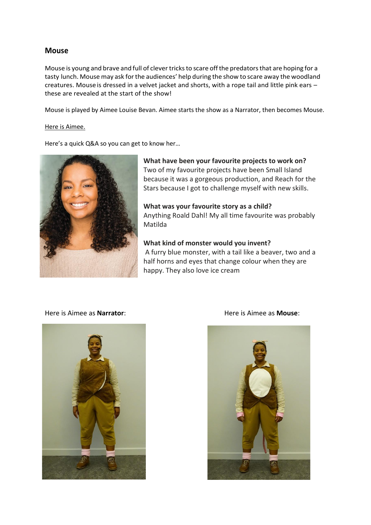### **Mouse**

Mouse is young and brave and full of clever tricksto scare offthe predatorsthat are hoping for a tasty lunch. Mouse may ask forthe audiences' help during the show to scare away the woodland creatures. Mouse is dressed in a velvet jacket and shorts, with a rope tail and little pink ears these are revealed at the start of the show!

Mouse is played by Aimee Louise Bevan. Aimee starts the show as a Narrator, then becomes Mouse.

### Here is Aimee.

Here's a quick Q&A so you can get to know her…



**What have been your favourite projects to work on?**  Two of my favourite projects have been Small Island because it was a gorgeous production, and Reach for the Stars because I got to challenge myself with new skills.

**What was your favourite story as a child?** Anything Roald Dahl! My all time favourite was probably Matilda

**What kind of monster would you invent?** A furry blue monster, with a tail like a beaver, two and a half horns and eyes that change colour when they are happy. They also love ice cream

### Here is Aimee as **Narrator**: Here is Aimee as **Mouse**:



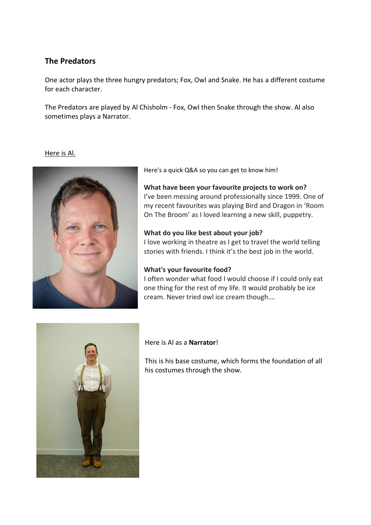### **The Predators**

One actor plays the three hungry predators; Fox, Owl and Snake. He has a different costume for each character.

The Predators are played by Al Chisholm - Fox, Owl then Snake through the show. Al also sometimes plays a Narrator.

Here is Al.



Here's a quick Q&A so you can get to know him!

### **What have been your favourite projects to work on?** I've been messing around professionally since 1999. One of my recent favourites was playing Bird and Dragon in 'Room On The Broom' as I loved learning a new skill, puppetry.

### **What do you like best about your job?**

I love working in theatre as I get to travel the world telling stories with friends. I think it's the best job in the world.

### **What's your favourite food?**

I often wonder what food I would choose if I could only eat one thing for the rest of my life. It would probably be ice cream. Never tried owl ice cream though….



### Here is Al as a **Narrator**!

This is his base costume, which forms the foundation of all his costumes through the show.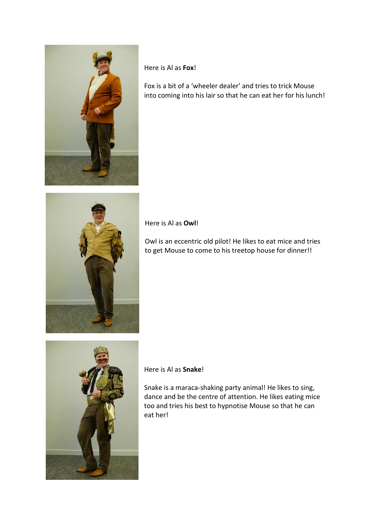

Here is Al as **Fox**!

Fox is a bit of a 'wheeler dealer' and tries to trick Mouse into coming into his lair so that he can eat her for his lunch!



Here is Al as **Owl**!

Owl is an eccentric old pilot! He likes to eat mice and tries to get Mouse to come to his treetop house for dinner!!



Here is Al as **Snake**!

Snake is a maraca-shaking party animal! He likes to sing, dance and be the centre of attention. He likes eating mice too and tries his best to hypnotise Mouse so that he can eat her!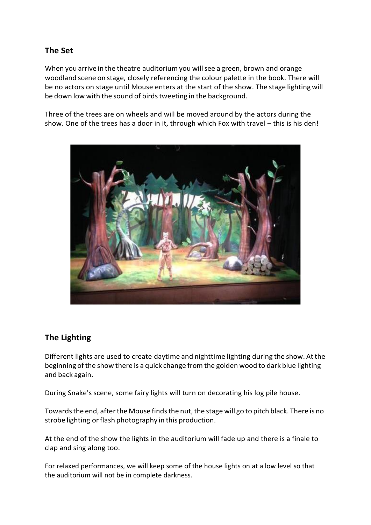### **The Set**

When you arrive in the theatre auditorium you willsee a green, brown and orange woodland scene on stage, closely referencing the colour palette in the book. There will be no actors on stage until Mouse enters at the start of the show. The stage lighting will be down low with the sound of birds tweeting in the background.

Three of the trees are on wheels and will be moved around by the actors during the show. One of the trees has a door in it, through which Fox with travel – this is his den!



### **The Lighting**

Different lights are used to create daytime and nighttime lighting during the show. Atthe beginning of the show there is a quick change from the golden wood to dark blue lighting and back again.

During Snake's scene, some fairy lights will turn on decorating his log pile house.

Towards the end, after the Mouse finds the nut, the stage will go to pitch black. There is no strobe lighting or flash photography in this production.

At the end of the show the lights in the auditorium will fade up and there is a finale to clap and sing along too.

For relaxed performances, we will keep some of the house lights on at a low level so that the auditorium will not be in complete darkness.